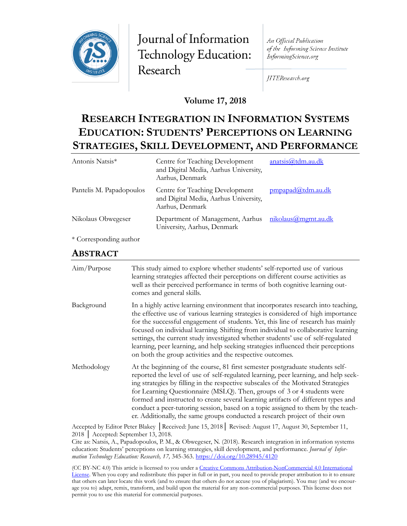

Journal of Information Technology Education: Research

An Official Publication of the Informing Science Institute InformingScience.org

JITEResearch.org

**Volume 17, 2018**

# **RESEARCH INTEGRATION IN INFORMATION SYSTEMS EDUCATION: STUDENTS' PERCEPTIONS ON LEARNING STRATEGIES, SKILL DEVELOPMENT, AND PERFORMANCE**

| anatsis@tdm.au.dk   |
|---------------------|
| pmpapad@tdm.au.dk   |
| nikolaus@mgmt.au.dk |
|                     |

\* Corresponding author

### **ABSTRACT**

| Aim/Purpose | This study aimed to explore whether students' self-reported use of various<br>learning strategies affected their perceptions on different course activities as<br>well as their perceived performance in terms of both cognitive learning out-<br>comes and general skills.                                                                                                                                                                                                                                                                                                                  |
|-------------|----------------------------------------------------------------------------------------------------------------------------------------------------------------------------------------------------------------------------------------------------------------------------------------------------------------------------------------------------------------------------------------------------------------------------------------------------------------------------------------------------------------------------------------------------------------------------------------------|
| Background  | In a highly active learning environment that incorporates research into teaching,<br>the effective use of various learning strategies is considered of high importance<br>for the successful engagement of students. Yet, this line of research has mainly<br>focused on individual learning. Shifting from individual to collaborative learning<br>settings, the current study investigated whether students' use of self-regulated<br>learning, peer learning, and help seeking strategies influenced their perceptions<br>on both the group activities and the respective outcomes.       |
| Methodology | At the beginning of the course, 81 first semester postgraduate students self-<br>reported the level of use of self-regulated learning, peer learning, and help seek-<br>ing strategies by filling in the respective subscales of the Motivated Strategies<br>for Learning Questionnaire (MSLQ). Then, groups of 3 or 4 students were<br>formed and instructed to create several learning artifacts of different types and<br>conduct a peer-tutoring session, based on a topic assigned to them by the teach-<br>er. Additionally, the same groups conducted a research project of their own |

Accepted by Editor Peter Blakey │Received: June 15, 2018│ Revised: August 17, August 30, September 11, 2018 │ Accepted: September 13, 2018.

Cite as: Natsis, A., Papadopoulos, P. M., & Obwegeser, N. (2018). Research integration in information systems education: Students' perceptions on learning strategies, skill development, and performance. *Journal of Information Technology Education: Research, 17,* 345-363. <https://doi.org/10.28945/4120>

(CC BY-NC 4.0) This article is licensed to you under a Creative Commons Attribution-[NonCommercial 4.0 International](https://creativecommons.org/licenses/by-nc/4.0/)  [License.](https://creativecommons.org/licenses/by-nc/4.0/) When you copy and redistribute this paper in full or in part, you need to provide proper attribution to it to ensure that others can later locate this work (and to ensure that others do not accuse you of plagiarism). You may (and we encourage you to) adapt, remix, transform, and build upon the material for any non-commercial purposes. This license does not permit you to use this material for commercial purposes.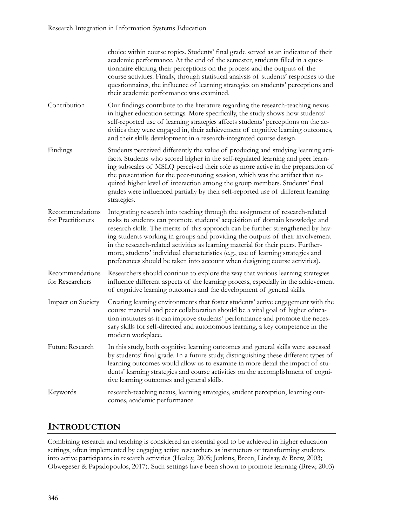|                                      | choice within course topics. Students' final grade served as an indicator of their<br>academic performance. At the end of the semester, students filled in a ques-<br>tionnaire eliciting their perceptions on the process and the outputs of the<br>course activities. Finally, through statistical analysis of students' responses to the<br>questionnaires, the influence of learning strategies on students' perceptions and<br>their academic performance was examined.                                                                                                              |
|--------------------------------------|-------------------------------------------------------------------------------------------------------------------------------------------------------------------------------------------------------------------------------------------------------------------------------------------------------------------------------------------------------------------------------------------------------------------------------------------------------------------------------------------------------------------------------------------------------------------------------------------|
| Contribution                         | Our findings contribute to the literature regarding the research-teaching nexus<br>in higher education settings. More specifically, the study shows how students'<br>self-reported use of learning strategies affects students' perceptions on the ac-<br>tivities they were engaged in, their achievement of cognitive learning outcomes,<br>and their skills development in a research-integrated course design.                                                                                                                                                                        |
| Findings                             | Students perceived differently the value of producing and studying learning arti-<br>facts. Students who scored higher in the self-regulated learning and peer learn-<br>ing subscales of MSLQ perceived their role as more active in the preparation of<br>the presentation for the peer-tutoring session, which was the artifact that re-<br>quired higher level of interaction among the group members. Students' final<br>grades were influenced partially by their self-reported use of different learning<br>strategies.                                                            |
| Recommendations<br>for Practitioners | Integrating research into teaching through the assignment of research-related<br>tasks to students can promote students' acquisition of domain knowledge and<br>research skills. The merits of this approach can be further strengthened by hav-<br>ing students working in groups and providing the outputs of their involvement<br>in the research-related activities as learning material for their peers. Further-<br>more, students' individual characteristics (e.g., use of learning strategies and<br>preferences should be taken into account when designing course activities). |
| Recommendations<br>for Researchers   | Researchers should continue to explore the way that various learning strategies<br>influence different aspects of the learning process, especially in the achievement<br>of cognitive learning outcomes and the development of general skills.                                                                                                                                                                                                                                                                                                                                            |
| Impact on Society                    | Creating learning environments that foster students' active engagement with the<br>course material and peer collaboration should be a vital goal of higher educa-<br>tion institutes as it can improve students' performance and promote the neces-<br>sary skills for self-directed and autonomous learning, a key competence in the<br>modern workplace.                                                                                                                                                                                                                                |
| Future Research                      | In this study, both cognitive learning outcomes and general skills were assessed<br>by students' final grade. In a future study, distinguishing these different types of<br>learning outcomes would allow us to examine in more detail the impact of stu-<br>dents' learning strategies and course activities on the accomplishment of cogni-<br>tive learning outcomes and general skills.                                                                                                                                                                                               |
| Keywords                             | research-teaching nexus, learning strategies, student perception, learning out-<br>comes, academic performance                                                                                                                                                                                                                                                                                                                                                                                                                                                                            |
|                                      |                                                                                                                                                                                                                                                                                                                                                                                                                                                                                                                                                                                           |

# **INTRODUCTION**

Combining research and teaching is considered an essential goal to be achieved in higher education settings, often implemented by engaging active researchers as instructors or transforming students into active participants in research activities (Healey, 2005; Jenkins, Breen, Lindsay, & Brew, 2003; Obwegeser & Papadopoulos, 2017). Such settings have been shown to promote learning (Brew, 2003)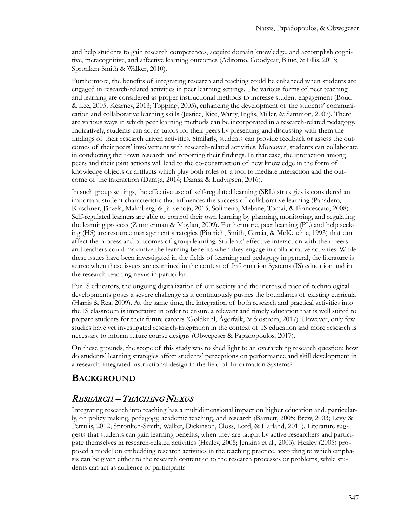and help students to gain research competences, acquire domain knowledge, and accomplish cognitive, metacognitive, and affective learning outcomes (Aditomo, Goodyear, Bliuc, & Ellis, 2013; Spronken-Smith & Walker, 2010).

Furthermore, the benefits of integrating research and teaching could be enhanced when students are engaged in research-related activities in peer learning settings. The various forms of peer teaching and learning are considered as proper instructional methods to increase student engagement (Boud & Lee, 2005; Kearney, 2013; Topping, 2005), enhancing the development of the students' communication and collaborative learning skills (Justice, Rice, Warry, Inglis, Miller, & Sammon, 2007). There are various ways in which peer learning methods can be incorporated in a research-related pedagogy. Indicatively, students can act as tutors for their peers by presenting and discussing with them the findings of their research driven activities. Similarly, students can provide feedback or assess the outcomes of their peers' involvement with research-related activities. Moreover, students can collaborate in conducting their own research and reporting their findings. In that case, the interaction among peers and their joint actions will lead to the co-construction of new knowledge in the form of knowledge objects or artifacts which play both roles of a tool to mediate interaction and the outcome of the interaction (Damşa, 2014; Damşa & Ludvigsen, 2016).

In such group settings, the effective use of self-regulated learning (SRL) strategies is considered an important student characteristic that influences the success of collaborative learning (Panadero, Kirschner, Järvelä, Malmberg, & Järvenoja, 2015; Solimeno, Mebane, Tomai, & Francescato, 2008). Self-regulated learners are able to control their own learning by planning, monitoring, and regulating the learning process (Zimmerman & Moylan, 2009). Furthermore, peer learning (PL) and help seeking (HS) are resource management strategies (Pintrich, Smith, Garcia, & McKeachie, 1993) that can affect the process and outcomes of group learning. Students' effective interaction with their peers and teachers could maximize the learning benefits when they engage in collaborative activities. While these issues have been investigated in the fields of learning and pedagogy in general, the literature is scarce when these issues are examined in the context of Information Systems (IS) education and in the research-teaching nexus in particular.

For IS educators, the ongoing digitalization of our society and the increased pace of technological developments poses a severe challenge as it continuously pushes the boundaries of existing curricula (Harris & Rea, 2009). At the same time, the integration of both research and practical activities into the IS classroom is imperative in order to ensure a relevant and timely education that is well suited to prepare students for their future careers (Goldkuhl, Ågerfalk, & Sjöström, 2017). However, only few studies have yet investigated research-integration in the context of IS education and more research is necessary to inform future course designs (Obwegeser & Papadopoulos, 2017).

On these grounds, the scope of this study was to shed light to an overarching research question: how do students' learning strategies affect students' perceptions on performance and skill development in a research-integrated instructional design in the field of Information Systems?

### **BACKGROUND**

### RESEARCH – TEACHING NEXUS

Integrating research into teaching has a multidimensional impact on higher education and, particularly, on policy making, pedagogy, academic teaching, and research (Barnett, 2005; Brew, 2003; Levy & Petrulis, 2012; Spronken-Smith, Walker, Dickinson, Closs, Lord, & Harland, 2011). Literature suggests that students can gain learning benefits, when they are taught by active researchers and participate themselves in research-related activities (Healey, 2005; Jenkins et al., 2003). Healey (2005) proposed a model on embedding research activities in the teaching practice, according to which emphasis can be given either to the research content or to the research processes or problems, while students can act as audience or participants.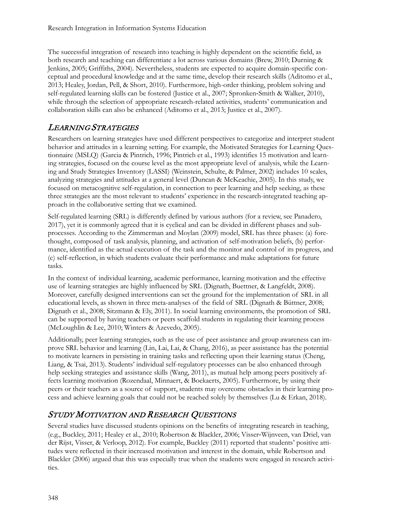The successful integration of research into teaching is highly dependent on the scientific field, as both research and teaching can differentiate a lot across various domains (Brew, 2010; Durning & Jenkins, 2005; Griffiths, 2004). Nevertheless, students are expected to acquire domain-specific conceptual and procedural knowledge and at the same time, develop their research skills (Aditomo et al., 2013; Healey, Jordan, Pell, & Short, 2010). Furthermore, high-order thinking, problem solving and self-regulated learning skills can be fostered (Justice et al., 2007; Spronken-Smith & Walker, 2010), while through the selection of appropriate research-related activities, students' communication and collaboration skills can also be enhanced (Aditomo et al., 2013; Justice et al., 2007).

### LEARNING STRATEGIES

Researchers on learning strategies have used different perspectives to categorize and interpret student behavior and attitudes in a learning setting. For example, the Motivated Strategies for Learning Questionnaire (MSLQ) (Garcia & Pintrich, 1996; Pintrich et al., 1993) identifies 15 motivation and learning strategies, focused on the course level as the most appropriate level of analysis, while the Learning and Study Strategies Inventory (LASSI) (Weinstein, Schulte, & Palmer, 2002) includes 10 scales, analyzing strategies and attitudes at a general level (Duncan & McKeachie, 2005). In this study, we focused on metacognitive self-regulation, in connection to peer learning and help seeking, as these three strategies are the most relevant to students' experience in the research-integrated teaching approach in the collaborative setting that we examined.

Self-regulated learning (SRL) is differently defined by various authors (for a review, see Panadero, 2017), yet it is commonly agreed that it is cyclical and can be divided in different phases and subprocesses. According to the Zimmerman and Moylan (2009) model, SRL has three phases: (a) forethought, composed of task analysis, planning, and activation of self-motivation beliefs, (b) performance, identified as the actual execution of the task and the monitor and control of its progress, and (c) self-reflection, in which students evaluate their performance and make adaptations for future tasks.

In the context of individual learning, academic performance, learning motivation and the effective use of learning strategies are highly influenced by SRL (Dignath, Buettner, & Langfeldt, 2008). Moreover, carefully designed interventions can set the ground for the implementation of SRL in all educational levels, as shown in three meta-analyses of the field of SRL (Dignath & Büttner, 2008; Dignath et al., 2008; Sitzmann & Ely, 2011). In social learning environments, the promotion of SRL can be supported by having teachers or peers scaffold students in regulating their learning process (McLoughlin & Lee, 2010; Winters & Azevedo, 2005).

Additionally, peer learning strategies, such as the use of peer assistance and group awareness can improve SRL behavior and learning (Lin, Lai, Lai, & Chang, 2016), as peer assistance has the potential to motivate learners in persisting in training tasks and reflecting upon their learning status (Cheng, Liang, & Tsai, 2013). Students' individual self-regulatory processes can be also enhanced through help seeking strategies and assistance skills (Wang, 2011), as mutual help among peers positively affects learning motivation (Rozendaal, Minnaert, & Boekaerts, 2005). Furthermore, by using their peers or their teachers as a source of support, students may overcome obstacles in their learning process and achieve learning goals that could not be reached solely by themselves (Lu & Erkan, 2018).

### STUDY MOTIVATION AND RESEARCH QUESTIONS

Several studies have discussed students opinions on the benefits of integrating research in teaching, (e.g., Buckley, 2011; Healey et al., 2010; Robertson & Blackler, 2006; Visser‐Wijnveen, van Driel, van der Rijst, Visser, & Verloop, 2012). For example, Buckley (2011) reported that students' positive attitudes were reflected in their increased motivation and interest in the domain, while Robertson and Blackler (2006) argued that this was especially true when the students were engaged in research activities.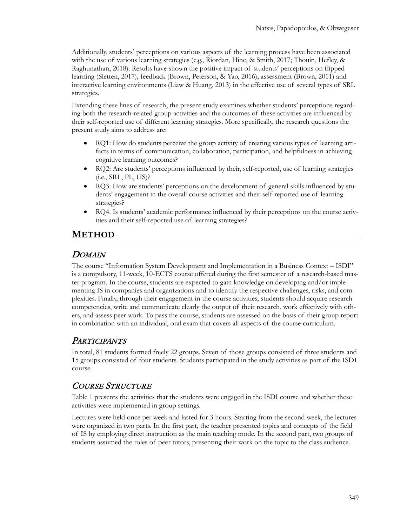Additionally, students' perceptions on various aspects of the learning process have been associated with the use of various learning strategies (e.g., Riordan, Hine, & Smith, 2017; Thouin, Hefley, & Raghunathan, 2018). Results have shown the positive impact of students' perceptions on flipped learning (Sletten, 2017), feedback (Brown, Peterson, & Yao, 2016), assessment (Brown, 2011) and interactive learning environments (Liaw & Huang, 2013) in the effective use of several types of SRL strategies.

Extending these lines of research, the present study examines whether students' perceptions regarding both the research-related group activities and the outcomes of these activities are influenced by their self-reported use of different learning strategies. More specifically, the research questions the present study aims to address are:

- RQ1: How do students perceive the group activity of creating various types of learning artifacts in terms of communication, collaboration, participation, and helpfulness in achieving cognitive learning outcomes?
- RQ2: Are students' perceptions influenced by their, self-reported, use of learning strategies (i.e., SRL, PL, HS)?
- RQ3: How are students' perceptions on the development of general skills influenced by students' engagement in the overall course activities and their self-reported use of learning strategies?
- RQ4. Is students' academic performance influenced by their perceptions on the course activities and their self-reported use of learning strategies?

## **METHOD**

### **DOMAIN**

The course "Information System Development and Implementation in a Business Context – ISDI" is a compulsory, 11-week, 10-ECTS course offered during the first semester of a research-based master program. In the course, students are expected to gain knowledge on developing and/or implementing IS in companies and organizations and to identify the respective challenges, risks, and complexities. Finally, through their engagement in the course activities, students should acquire research competencies, write and communicate clearly the output of their research, work effectively with others, and assess peer work. To pass the course, students are assessed on the basis of their group report in combination with an individual, oral exam that covers all aspects of the course curriculum.

### **PARTICIPANTS**

In total, 81 students formed freely 22 groups. Seven of those groups consisted of three students and 15 groups consisted of four students. Students participated in the study activities as part of the ISDI course.

### COURSE STRUCTURE

Table 1 presents the activities that the students were engaged in the ISDI course and whether these activities were implemented in group settings.

Lectures were held once per week and lasted for 3 hours. Starting from the second week, the lectures were organized in two parts. In the first part, the teacher presented topics and concepts of the field of IS by employing direct instruction as the main teaching mode. In the second part, two groups of students assumed the roles of peer tutors, presenting their work on the topic to the class audience.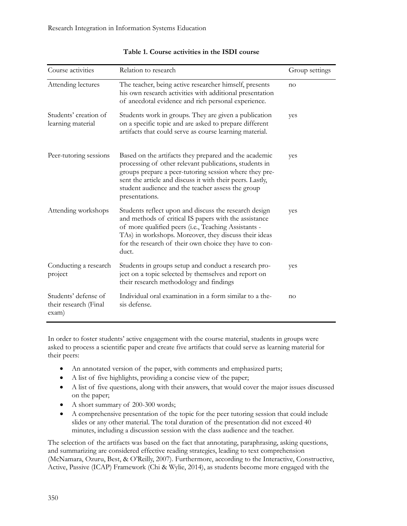| Course activities                                      | Relation to research                                                                                                                                                                                                                                                                                          | Group settings |
|--------------------------------------------------------|---------------------------------------------------------------------------------------------------------------------------------------------------------------------------------------------------------------------------------------------------------------------------------------------------------------|----------------|
| Attending lectures                                     | The teacher, being active researcher himself, presents<br>his own research activities with additional presentation<br>of anecdotal evidence and rich personal experience.                                                                                                                                     | no             |
| Students' creation of<br>learning material             | Students work in groups. They are given a publication<br>on a specific topic and are asked to prepare different<br>artifacts that could serve as course learning material.                                                                                                                                    | yes            |
| Peer-tutoring sessions                                 | Based on the artifacts they prepared and the academic<br>processing of other relevant publications, students in<br>groups prepare a peer-tutoring session where they pre-<br>sent the article and discuss it with their peers. Lastly,<br>student audience and the teacher assess the group<br>presentations. | yes            |
| Attending workshops                                    | Students reflect upon and discuss the research design<br>and methods of critical IS papers with the assistance<br>of more qualified peers (i.e., Teaching Assistants -<br>TAs) in workshops. Moreover, they discuss their ideas<br>for the research of their own choice they have to con-<br>duct.            | yes            |
| Conducting a research<br>project                       | Students in groups setup and conduct a research pro-<br>ject on a topic selected by themselves and report on<br>their research methodology and findings                                                                                                                                                       | yes            |
| Students' defense of<br>their research (Final<br>exam) | Individual oral examination in a form similar to a the-<br>sis defense.                                                                                                                                                                                                                                       | no             |

#### **Table 1. Course activities in the ISDI course**

In order to foster students' active engagement with the course material, students in groups were asked to process a scientific paper and create five artifacts that could serve as learning material for their peers:

- An annotated version of the paper, with comments and emphasized parts;
- A list of five highlights, providing a concise view of the paper;
- A list of five questions, along with their answers, that would cover the major issues discussed on the paper;
- A short summary of 200-300 words;
- A comprehensive presentation of the topic for the peer tutoring session that could include slides or any other material. The total duration of the presentation did not exceed 40 minutes, including a discussion session with the class audience and the teacher.

The selection of the artifacts was based on the fact that annotating, paraphrasing, asking questions, and summarizing are considered effective reading strategies, leading to text comprehension (McNamara, Ozuru, Best, & O'Reilly, 2007). Furthermore, according to the Interactive, Constructive, Active, Passive (ICAP) Framework (Chi & Wylie, 2014), as students become more engaged with the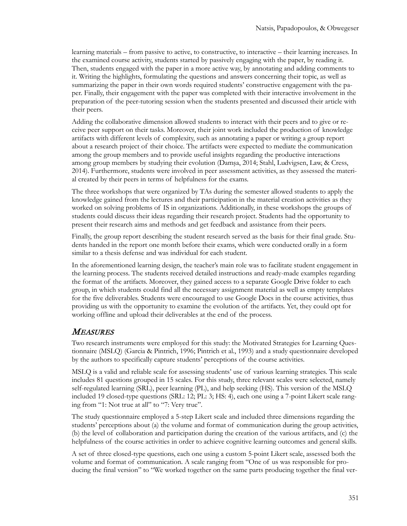learning materials – from passive to active, to constructive, to interactive – their learning increases. In the examined course activity, students started by passively engaging with the paper, by reading it. Then, students engaged with the paper in a more active way, by annotating and adding comments to it. Writing the highlights, formulating the questions and answers concerning their topic, as well as summarizing the paper in their own words required students' constructive engagement with the paper. Finally, their engagement with the paper was completed with their interactive involvement in the preparation of the peer-tutoring session when the students presented and discussed their article with their peers.

Adding the collaborative dimension allowed students to interact with their peers and to give or receive peer support on their tasks. Moreover, their joint work included the production of knowledge artifacts with different levels of complexity, such as annotating a paper or writing a group report about a research project of their choice. The artifacts were expected to mediate the communication among the group members and to provide useful insights regarding the productive interactions among group members by studying their evolution (Damşa, 2014; Stahl, Ludvigsen, Law, & Cress, 2014). Furthermore, students were involved in peer assessment activities, as they assessed the material created by their peers in terms of helpfulness for the exams.

The three workshops that were organized by TAs during the semester allowed students to apply the knowledge gained from the lectures and their participation in the material creation activities as they worked on solving problems of IS in organizations. Additionally, in these workshops the groups of students could discuss their ideas regarding their research project. Students had the opportunity to present their research aims and methods and get feedback and assistance from their peers.

Finally, the group report describing the student research served as the basis for their final grade. Students handed in the report one month before their exams, which were conducted orally in a form similar to a thesis defense and was individual for each student.

In the aforementioned learning design, the teacher's main role was to facilitate student engagement in the learning process. The students received detailed instructions and ready-made examples regarding the format of the artifacts. Moreover, they gained access to a separate Google Drive folder to each group, in which students could find all the necessary assignment material as well as empty templates for the five deliverables. Students were encouraged to use Google Docs in the course activities, thus providing us with the opportunity to examine the evolution of the artifacts. Yet, they could opt for working offline and upload their deliverables at the end of the process.

### MEASURES

Two research instruments were employed for this study: the Motivated Strategies for Learning Questionnaire (MSLQ) (Garcia & Pintrich, 1996; Pintrich et al., 1993) and a study questionnaire developed by the authors to specifically capture students' perceptions of the course activities.

MSLQ is a valid and reliable scale for assessing students' use of various learning strategies. This scale includes 81 questions grouped in 15 scales. For this study, three relevant scales were selected, namely self-regulated learning (SRL), peer learning (PL), and help seeking (HS). This version of the MSLQ included 19 closed-type questions (SRL: 12; PL: 3; HS: 4), each one using a 7-point Likert scale ranging from "1: Not true at all" to "7: Very true".

The study questionnaire employed a 5-step Likert scale and included three dimensions regarding the students' perceptions about (a) the volume and format of communication during the group activities, (b) the level of collaboration and participation during the creation of the various artifacts, and (c) the helpfulness of the course activities in order to achieve cognitive learning outcomes and general skills.

A set of three closed-type questions, each one using a custom 5-point Likert scale, assessed both the volume and format of communication. A scale ranging from "One of us was responsible for producing the final version" to "We worked together on the same parts producing together the final ver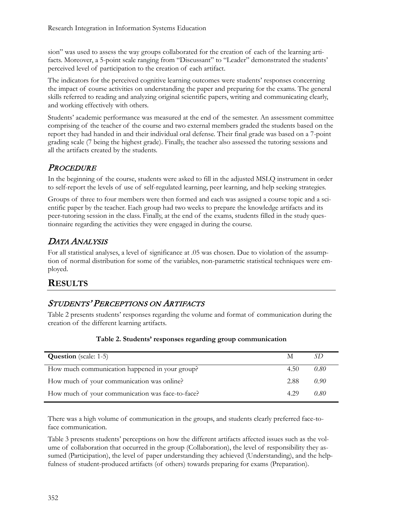sion" was used to assess the way groups collaborated for the creation of each of the learning artifacts. Moreover, a 5-point scale ranging from "Discussant" to "Leader" demonstrated the students' perceived level of participation to the creation of each artifact.

The indicators for the perceived cognitive learning outcomes were students' responses concerning the impact of course activities on understanding the paper and preparing for the exams. The general skills referred to reading and analyzing original scientific papers, writing and communicating clearly, and working effectively with others.

Students' academic performance was measured at the end of the semester. An assessment committee comprising of the teacher of the course and two external members graded the students based on the report they had handed in and their individual oral defense. Their final grade was based on a 7-point grading scale (7 being the highest grade). Finally, the teacher also assessed the tutoring sessions and all the artifacts created by the students.

### **PROCEDURE**

In the beginning of the course, students were asked to fill in the adjusted MSLQ instrument in order to self-report the levels of use of self-regulated learning, peer learning, and help seeking strategies.

Groups of three to four members were then formed and each was assigned a course topic and a scientific paper by the teacher. Each group had two weeks to prepare the knowledge artifacts and its peer-tutoring session in the class. Finally, at the end of the exams, students filled in the study questionnaire regarding the activities they were engaged in during the course.

### DATA ANALYSIS

For all statistical analyses, a level of significance at .05 was chosen. Due to violation of the assumption of normal distribution for some of the variables, non-parametric statistical techniques were employed.

### **RESULTS**

### STUDENTS' PERCEPTIONS ON ARTIFACTS

Table 2 presents students' responses regarding the volume and format of communication during the creation of the different learning artifacts.

| <b>Question</b> (scale: 1-5)                     | M    |      |
|--------------------------------------------------|------|------|
| How much communication happened in your group?   | 4.50 | 0.80 |
| How much of your communication was online?       | 2.88 | 0.90 |
| How much of your communication was face-to-face? | 4.29 | 0.80 |

#### **Table 2. Students' responses regarding group communication**

There was a high volume of communication in the groups, and students clearly preferred face-toface communication.

Table 3 presents students' perceptions on how the different artifacts affected issues such as the volume of collaboration that occurred in the group (Collaboration), the level of responsibility they assumed (Participation), the level of paper understanding they achieved (Understanding), and the helpfulness of student-produced artifacts (of others) towards preparing for exams (Preparation).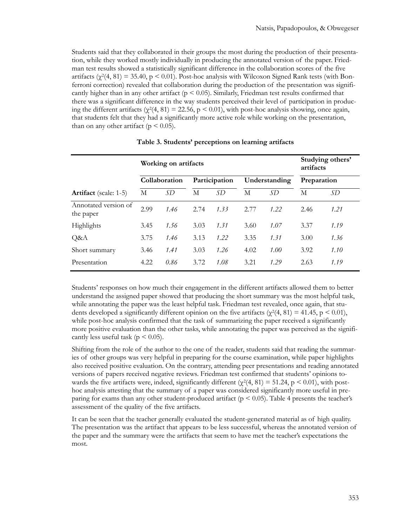Students said that they collaborated in their groups the most during the production of their presentation, while they worked mostly individually in producing the annotated version of the paper. Friedman test results showed a statistically significant difference in the collaboration scores of the five artifacts  $(\chi^2(4, 81) = 35.40, p \le 0.01)$ . Post-hoc analysis with Wilcoxon Signed Rank tests (with Bonferroni correction) revealed that collaboration during the production of the presentation was significantly higher than in any other artifact ( $p < 0.05$ ). Similarly, Friedman test results confirmed that there was a significant difference in the way students perceived their level of participation in producing the different artifacts ( $\chi^2(4, 81) = 22.56$ ,  $p < 0.01$ ), with post-hoc analysis showing, once again, that students felt that they had a significantly more active role while working on the presentation, than on any other artifact ( $p < 0.05$ ).

|                                   | Working on artifacts |               |      |               |      | Studying others'<br>artifacts |             |      |
|-----------------------------------|----------------------|---------------|------|---------------|------|-------------------------------|-------------|------|
|                                   |                      | Collaboration |      | Participation |      | Understanding                 | Preparation |      |
| <b>Artifact</b> (scale: 1-5)      | М                    | SD            | М    | SD            | М    | SD                            | М           | SD   |
| Annotated version of<br>the paper | 2.99                 | 1.46          | 2.74 | 1.33          | 2.77 | 1.22                          | 2.46        | 1.21 |
| Highlights                        | 3.45                 | 1.56          | 3.03 | 1.31          | 3.60 | 1.07                          | 3.37        | 1.19 |
| Q&A                               | 3.75                 | 1.46          | 3.13 | 1.22          | 3.35 | 1.31                          | 3.00        | 1.36 |
| Short summary                     | 3.46                 | 1.41          | 3.03 | 1.26          | 4.02 | 1.00                          | 3.92        | 1.10 |
| Presentation                      | 4.22                 | 0.86          | 3.72 | 1.08          | 3.21 | 1.29                          | 2.63        | 1.19 |

|  |  | Table 3. Students' perceptions on learning artifacts |
|--|--|------------------------------------------------------|
|--|--|------------------------------------------------------|

Students' responses on how much their engagement in the different artifacts allowed them to better understand the assigned paper showed that producing the short summary was the most helpful task, while annotating the paper was the least helpful task. Friedman test revealed, once again, that students developed a significantly different opinion on the five artifacts ( $\chi^2(4, 81) = 41.45$ , p < 0.01), while post-hoc analysis confirmed that the task of summarizing the paper received a significantly more positive evaluation than the other tasks, while annotating the paper was perceived as the significantly less useful task ( $p < 0.05$ ).

Shifting from the role of the author to the one of the reader, students said that reading the summaries of other groups was very helpful in preparing for the course examination, while paper highlights also received positive evaluation. On the contrary, attending peer presentations and reading annotated versions of papers received negative reviews. Friedman test confirmed that students' opinions towards the five artifacts were, indeed, significantly different ( $\chi^2$ (4, 81) = 51.24, p < 0.01), with posthoc analysis attesting that the summary of a paper was considered significantly more useful in preparing for exams than any other student-produced artifact ( $p < 0.05$ ). Table 4 presents the teacher's assessment of the quality of the five artifacts.

It can be seen that the teacher generally evaluated the student-generated material as of high quality. The presentation was the artifact that appears to be less successful, whereas the annotated version of the paper and the summary were the artifacts that seem to have met the teacher's expectations the most.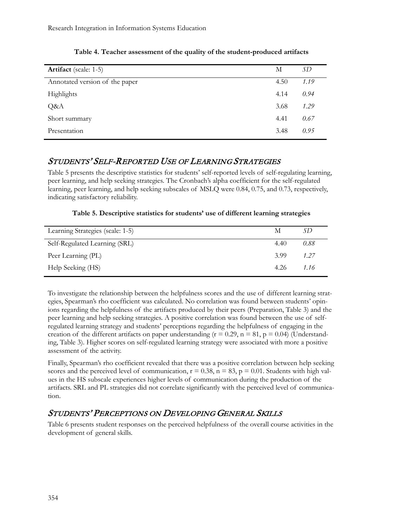| <b>Artifact</b> (scale: 1-5)   | М    | SD   |
|--------------------------------|------|------|
| Annotated version of the paper | 4.50 | 1.19 |
| Highlights                     | 4.14 | 0.94 |
| Q&A                            | 3.68 | 1.29 |
| Short summary                  | 4.41 | 0.67 |
| Presentation                   | 3.48 | 0.95 |
|                                |      |      |

**Table 4. Teacher assessment of the quality of the student-produced artifacts**

### STUDENTS' SELF-REPORTED USE OF LEARNING STRATEGIES

Table 5 presents the descriptive statistics for students' self-reported levels of self-regulating learning, peer learning, and help seeking strategies. The Cronbach's alpha coefficient for the self-regulated learning, peer learning, and help seeking subscales of MSLQ were 0.84, 0.75, and 0.73, respectively, indicating satisfactory reliability.

|  |  | Table 5. Descriptive statistics for students' use of different learning strategies |  |  |
|--|--|------------------------------------------------------------------------------------|--|--|
|--|--|------------------------------------------------------------------------------------|--|--|

| Learning Strategies (scale: 1-5) | М    |      |
|----------------------------------|------|------|
| Self-Regulated Learning (SRL)    | 4.40 | 0.88 |
| Peer Learning (PL)               | 3.99 | 1.27 |
| Help Seeking (HS)                | 4.26 | 1.16 |

To investigate the relationship between the helpfulness scores and the use of different learning strategies, Spearman's rho coefficient was calculated. No correlation was found between students' opinions regarding the helpfulness of the artifacts produced by their peers (Preparation, Table 3) and the peer learning and help seeking strategies. A positive correlation was found between the use of selfregulated learning strategy and students' perceptions regarding the helpfulness of engaging in the creation of the different artifacts on paper understanding ( $r = 0.29$ ,  $n = 81$ ,  $p = 0.04$ ) (Understanding, Table 3). Higher scores on self-regulated learning strategy were associated with more a positive assessment of the activity.

Finally, Spearman's rho coefficient revealed that there was a positive correlation between help seeking scores and the perceived level of communication,  $r = 0.38$ ,  $n = 83$ ,  $p = 0.01$ . Students with high values in the HS subscale experiences higher levels of communication during the production of the artifacts. SRL and PL strategies did not correlate significantly with the perceived level of communication.

### STUDENTS' PERCEPTIONS ON DEVELOPING GENERAL SKILLS

Table 6 presents student responses on the perceived helpfulness of the overall course activities in the development of general skills.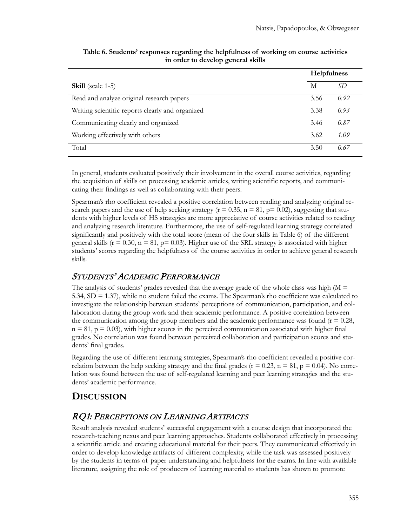|                                                  | <b>Helpfulness</b> |      |
|--------------------------------------------------|--------------------|------|
| <b>Skill</b> (scale 1-5)                         | М                  | SD   |
| Read and analyze original research papers        | 3.56               | 0.92 |
| Writing scientific reports clearly and organized | 3.38               | 0.93 |
| Communicating clearly and organized              | 3.46               | 0.87 |
| Working effectively with others                  | 3.62               | 1.09 |
| Total                                            | 3.50               | 0.67 |

#### **Table 6. Students' responses regarding the helpfulness of working on course activities in order to develop general skills**

In general, students evaluated positively their involvement in the overall course activities, regarding the acquisition of skills on processing academic articles, writing scientific reports, and communicating their findings as well as collaborating with their peers.

Spearman's rho coefficient revealed a positive correlation between reading and analyzing original research papers and the use of help seeking strategy ( $r = 0.35$ ,  $n = 81$ ,  $p = 0.02$ ), suggesting that students with higher levels of HS strategies are more appreciative of course activities related to reading and analyzing research literature. Furthermore, the use of self-regulated learning strategy correlated significantly and positively with the total score (mean of the four skills in Table 6) of the different general skills ( $r = 0.30$ ,  $n = 81$ ,  $p = 0.03$ ). Higher use of the SRL strategy is associated with higher students' scores regarding the helpfulness of the course activities in order to achieve general research skills.

### STUDENTS' ACADEMIC PERFORMANCE

The analysis of students' grades revealed that the average grade of the whole class was high  $(M =$ 5.34, SD = 1.37), while no student failed the exams. The Spearman's rho coefficient was calculated to investigate the relationship between students' perceptions of communication, participation, and collaboration during the group work and their academic performance. A positive correlation between the communication among the group members and the academic performance was found ( $r = 0.28$ ,  $n = 81$ ,  $p = 0.03$ ), with higher scores in the perceived communication associated with higher final grades. No correlation was found between perceived collaboration and participation scores and students' final grades.

Regarding the use of different learning strategies, Spearman's rho coefficient revealed a positive correlation between the help seeking strategy and the final grades ( $r = 0.23$ ,  $n = 81$ ,  $p = 0.04$ ). No correlation was found between the use of self-regulated learning and peer learning strategies and the students' academic performance.

### **DISCUSSION**

### RQ1: PERCEPTIONS ON LEARNING ARTIFACTS

Result analysis revealed students' successful engagement with a course design that incorporated the research-teaching nexus and peer learning approaches. Students collaborated effectively in processing a scientific article and creating educational material for their peers. They communicated effectively in order to develop knowledge artifacts of different complexity, while the task was assessed positively by the students in terms of paper understanding and helpfulness for the exams. In line with available literature, assigning the role of producers of learning material to students has shown to promote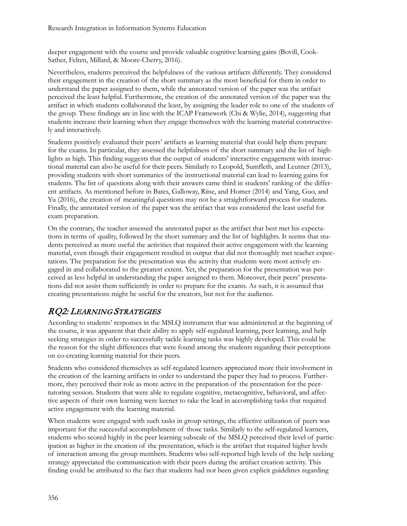deeper engagement with the course and provide valuable cognitive learning gains (Bovill, Cook-Sather, Felten, Millard, & Moore-Cherry, 2016).

Nevertheless, students perceived the helpfulness of the various artifacts differently. They considered their engagement in the creation of the short summary as the most beneficial for them in order to understand the paper assigned to them, while the annotated version of the paper was the artifact perceived the least helpful. Furthermore, the creation of the annotated version of the paper was the artifact in which students collaborated the least, by assigning the leader role to one of the students of the group. These findings are in line with the ICAP Framework (Chi & Wylie, 2014), suggesting that students increase their learning when they engage themselves with the learning material constructively and interactively.

Students positively evaluated their peers' artifacts as learning material that could help them prepare for the exams. In particular, they assessed the helpfulness of the short summary and the list of highlights as high. This finding suggests that the output of students' interactive engagement with instructional material can also be useful for their peers. Similarly to Leopold, Sumfleth, and Leutner (2013), providing students with short summaries of the instructional material can lead to learning gains for students. The list of questions along with their answers came third in students' ranking of the different artifacts. As mentioned before in Bates, Galloway, Riise, and Homer (2014) and Yang, Guo, and Yu (2016), the creation of meaningful questions may not be a straightforward process for students. Finally, the annotated version of the paper was the artifact that was considered the least useful for exam preparation.

On the contrary, the teacher assessed the annotated paper as the artifact that best met his expectations in terms of quality, followed by the short summary and the list of highlights. It seems that students perceived as more useful the activities that required their active engagement with the learning material, even though their engagement resulted in output that did not thoroughly met teacher expectations. The preparation for the presentation was the activity that students were most actively engaged in and collaborated to the greatest extent. Yet, the preparation for the presentation was perceived as less helpful in understanding the paper assigned to them. Moreover, their peers' presentations did not assist them sufficiently in order to prepare for the exams. As such, it is assumed that creating presentations might be useful for the creators, but not for the audience.

### RQ2: LEARNING STRATEGIES

According to students' responses in the MSLQ instrument that was administered at the beginning of the course, it was apparent that their ability to apply self-regulated learning, peer learning, and help seeking strategies in order to successfully tackle learning tasks was highly developed. This could be the reason for the slight differences that were found among the students regarding their perceptions on co-creating learning material for their peers.

Students who considered themselves as self-regulated learners appreciated more their involvement in the creation of the learning artifacts in order to understand the paper they had to process. Furthermore, they perceived their role as more active in the preparation of the presentation for the peertutoring session. Students that were able to regulate cognitive, metacognitive, behavioral, and affective aspects of their own learning were keener to take the lead in accomplishing tasks that required active engagement with the learning material.

When students were engaged with such tasks in group settings, the effective utilization of peers was important for the successful accomplishment of those tasks. Similarly to the self-regulated learners, students who scored highly in the peer learning subscale of the MSLQ perceived their level of participation as higher in the creation of the presentation, which is the artifact that required higher levels of interaction among the group members. Students who self-reported high levels of the help seeking strategy appreciated the communication with their peers during the artifact creation activity. This finding could be attributed to the fact that students had not been given explicit guidelines regarding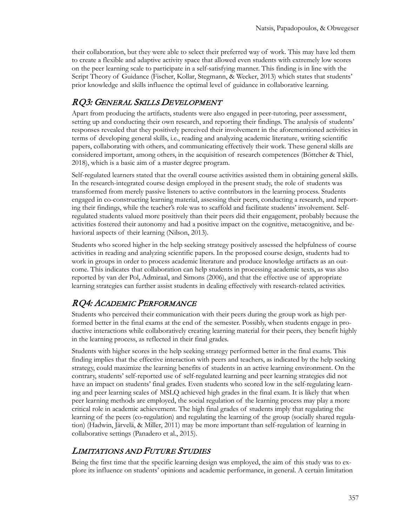their collaboration, but they were able to select their preferred way of work. This may have led them to create a flexible and adaptive activity space that allowed even students with extremely low scores on the peer learning scale to participate in a self-satisfying manner. This finding is in line with the Script Theory of Guidance (Fischer, Kollar, Stegmann, & Wecker, 2013) which states that students' prior knowledge and skills influence the optimal level of guidance in collaborative learning.

### RQ3: GENERAL SKILLS DEVELOPMENT

Apart from producing the artifacts, students were also engaged in peer-tutoring, peer assessment, setting up and conducting their own research, and reporting their findings. The analysis of students' responses revealed that they positively perceived their involvement in the aforementioned activities in terms of developing general skills, i.e., reading and analyzing academic literature, writing scientific papers, collaborating with others, and communicating effectively their work. These general skills are considered important, among others, in the acquisition of research competences (Böttcher & Thiel, 2018), which is a basic aim of a master degree program.

Self-regulated learners stated that the overall course activities assisted them in obtaining general skills. In the research-integrated course design employed in the present study, the role of students was transformed from merely passive listeners to active contributors in the learning process. Students engaged in co-constructing learning material, assessing their peers, conducting a research, and reporting their findings, while the teacher's role was to scaffold and facilitate students' involvement. Selfregulated students valued more positively than their peers did their engagement, probably because the activities fostered their autonomy and had a positive impact on the cognitive, metacognitive, and behavioral aspects of their learning (Nilson, 2013).

Students who scored higher in the help seeking strategy positively assessed the helpfulness of course activities in reading and analyzing scientific papers. In the proposed course design, students had to work in groups in order to process academic literature and produce knowledge artifacts as an outcome. This indicates that collaboration can help students in processing academic texts, as was also reported by van der Pol, Admiraal, and Simons (2006), and that the effective use of appropriate learning strategies can further assist students in dealing effectively with research-related activities.

### RQ4: ACADEMIC PERFORMANCE

Students who perceived their communication with their peers during the group work as high performed better in the final exams at the end of the semester. Possibly, when students engage in productive interactions while collaboratively creating learning material for their peers, they benefit highly in the learning process, as reflected in their final grades.

Students with higher scores in the help seeking strategy performed better in the final exams. This finding implies that the effective interaction with peers and teachers, as indicated by the help seeking strategy, could maximize the learning benefits of students in an active learning environment. On the contrary, students' self-reported use of self-regulated learning and peer learning strategies did not have an impact on students' final grades. Even students who scored low in the self-regulating learning and peer learning scales of MSLQ achieved high grades in the final exam. It is likely that when peer learning methods are employed, the social regulation of the learning process may play a more critical role in academic achievement. The high final grades of students imply that regulating the learning of the peers (co-regulation) and regulating the learning of the group (socially shared regulation) (Hadwin, Järvelä, & Miller, 2011) may be more important than self-regulation of learning in collaborative settings (Panadero et al., 2015).

### LIMITATIONS AND FUTURE STUDIES

Being the first time that the specific learning design was employed, the aim of this study was to explore its influence on students' opinions and academic performance, in general. A certain limitation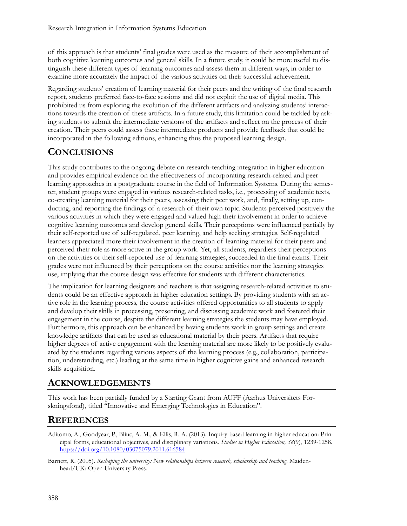of this approach is that students' final grades were used as the measure of their accomplishment of both cognitive learning outcomes and general skills. In a future study, it could be more useful to distinguish these different types of learning outcomes and assess them in different ways, in order to examine more accurately the impact of the various activities on their successful achievement.

Regarding students' creation of learning material for their peers and the writing of the final research report, students preferred face-to-face sessions and did not exploit the use of digital media. This prohibited us from exploring the evolution of the different artifacts and analyzing students' interactions towards the creation of these artifacts. In a future study, this limitation could be tackled by asking students to submit the intermediate versions of the artifacts and reflect on the process of their creation. Their peers could assess these intermediate products and provide feedback that could be incorporated in the following editions, enhancing thus the proposed learning design.

# **CONCLUSIONS**

This study contributes to the ongoing debate on research-teaching integration in higher education and provides empirical evidence on the effectiveness of incorporating research-related and peer learning approaches in a postgraduate course in the field of Information Systems. During the semester, student groups were engaged in various research-related tasks, i.e., processing of academic texts, co-creating learning material for their peers, assessing their peer work, and, finally, setting up, conducting, and reporting the findings of a research of their own topic. Students perceived positively the various activities in which they were engaged and valued high their involvement in order to achieve cognitive learning outcomes and develop general skills. Their perceptions were influenced partially by their self-reported use of self-regulated, peer learning, and help seeking strategies. Self-regulated learners appreciated more their involvement in the creation of learning material for their peers and perceived their role as more active in the group work. Yet, all students, regardless their perceptions on the activities or their self-reported use of learning strategies, succeeded in the final exams. Their grades were not influenced by their perceptions on the course activities nor the learning strategies use, implying that the course design was effective for students with different characteristics.

The implication for learning designers and teachers is that assigning research-related activities to students could be an effective approach in higher education settings. By providing students with an active role in the learning process, the course activities offered opportunities to all students to apply and develop their skills in processing, presenting, and discussing academic work and fostered their engagement in the course, despite the different learning strategies the students may have employed. Furthermore, this approach can be enhanced by having students work in group settings and create knowledge artifacts that can be used as educational material by their peers. Artifacts that require higher degrees of active engagement with the learning material are more likely to be positively evaluated by the students regarding various aspects of the learning process (e.g., collaboration, participation, understanding, etc.) leading at the same time in higher cognitive gains and enhanced research skills acquisition.

### **ACKNOWLEDGEMENTS**

This work has been partially funded by a Starting Grant from AUFF (Aarhus Universitets Forskningsfond), titled "Innovative and Emerging Technologies in Education".

### **REFERENCES**

- Aditomo, A., Goodyear, P., Bliuc, A.-M., & Ellis, R. A. (2013). Inquiry-based learning in higher education: Principal forms, educational objectives, and disciplinary variations. *Studies in Higher Education, 38*(9), 1239-1258. <https://doi.org/10.1080/03075079.2011.616584>
- Barnett, R. (2005). *Reshaping the university: New relationships between research, scholarship and teaching*. Maidenhead/UK: Open University Press.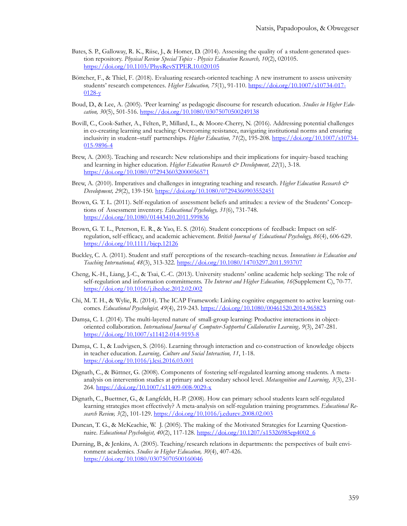- Bates, S. P., Galloway, R. K., Riise, J., & Homer, D. (2014). Assessing the quality of a student-generated question repository. *Physical Review Special Topics - Physics Education Research, 10*(2), 020105. <https://doi.org/10.1103/PhysRevSTPER.10.020105>
- Böttcher, F., & Thiel, F. (2018). Evaluating research-oriented teaching: A new instrument to assess university students' research competences. *Higher Education, 75*(1), 91-110. [https://doi.org/10.1007/s10734](https://doi.org/10.1007/s10734-017-0128-y)-017- [0128-y](https://doi.org/10.1007/s10734-017-0128-y)
- Boud, D., & Lee, A. (2005). 'Peer learning' as pedagogic discourse for research education. *Studies in Higher Education, 30*(5), 501-516. <https://doi.org/10.1080/03075070500249138>
- Bovill, C., Cook-Sather, A., Felten, P., Millard, L., & Moore-Cherry, N. (2016). Addressing potential challenges in co-creating learning and teaching: Overcoming resistance, navigating institutional norms and ensuring inclusivity in student–staff partnerships. *Higher Education, 71*(2), 195-208. [https://doi.org/10.1007/s10734](https://doi.org/10.1007/s10734-015-9896-4)- 015-[9896](https://doi.org/10.1007/s10734-015-9896-4)-4
- Brew, A. (2003). Teaching and research: New relationships and their implications for inquiry-based teaching and learning in higher education. *Higher Education Research & Development, 22*(1), 3-18. <https://doi.org/10.1080/0729436032000056571>
- Brew, A. (2010). Imperatives and challenges in integrating teaching and research. *Higher Education Research & Development, 29*(2), 139-150. <https://doi.org/10.1080/07294360903552451>
- Brown, G. T. L. (2011). Self-regulation of assessment beliefs and attitudes: a review of the Students' Conceptions of Assessment inventory. *Educational Psychology, 31*(6), 731-748. <https://doi.org/10.1080/01443410.2011.599836>
- Brown, G. T. L., Peterson, E. R., & Yao, E. S. (2016). Student conceptions of feedback: Impact on selfregulation, self-efficacy, and academic achievement. *British Journal of Educational Psychology, 86*(4), 606-629. <https://doi.org/10.1111/bjep.12126>
- Buckley, C. A. (2011). Student and staff perceptions of the research–teaching nexus*. Innovations in Education and Teaching International, 48*(3), 313-322. <https://doi.org/10.1080/14703297.2011.593707>
- Cheng, K.-H., Liang, J.-C., & Tsai, C.-C. (2013). University students' online academic help seeking: The role of self-regulation and information commitments. *The Internet and Higher Education, 16*(Supplement C), 70-77. <https://doi.org/10.1016/j.iheduc.2012.02.002>
- Chi, M. T. H., & Wylie, R. (2014). The ICAP Framework: Linking cognitive engagement to active learning outcomes. *Educational Psychologist, 49*(4), 219-243. <https://doi.org/10.1080/00461520.2014.965823>
- Damşa, C. I. (2014). The multi-layered nature of small-group learning: Productive interactions in objectoriented collaboration. *International Journal of Computer-Supported Collaborative Learning, 9*(3), 247-281. [https://doi.org/10.1007/s11412](https://doi.org/10.1007/s11412-014-9193-8)-014-9193-8
- Damşa, C. I., & Ludvigsen, S. (2016). Learning through interaction and co-construction of knowledge objects in teacher education. *Learning, Culture and Social Interaction, 11*, 1-18. <https://doi.org/10.1016/j.lcsi.2016.03.001>
- Dignath, C., & Büttner, G. (2008). Components of fostering self-regulated learning among students. A metaanalysis on intervention studies at primary and secondary school level. *Metacognition and Learning, 3*(3), 231- 264. [https://doi.org/10.1007/s11409](https://doi.org/10.1007/s11409-008-9029-x)-008-9029-x
- Dignath, C., Buettner, G., & Langfeldt, H.-P. (2008). How can primary school students learn self-regulated learning strategies most effectively? A meta-analysis on self-regulation training programmes. *Educational Research Review, 3*(2), 101-129.<https://doi.org/10.1016/j.edurev.2008.02.003>
- Duncan, T. G., & McKeachie, W. J. (2005). The making of the Motivated Strategies for Learning Questionnaire. *Educational Psychologist, 40*(2), 117-128. [https://doi.org/10.1207/s15326985ep4002\\_6](https://doi.org/10.1207/s15326985ep4002_6)
- Durning, B., & Jenkins, A. (2005). Teaching/research relations in departments: the perspectives of built environment academics. *Studies in Higher Education, 30*(4), 407-426. <https://doi.org/10.1080/03075070500160046>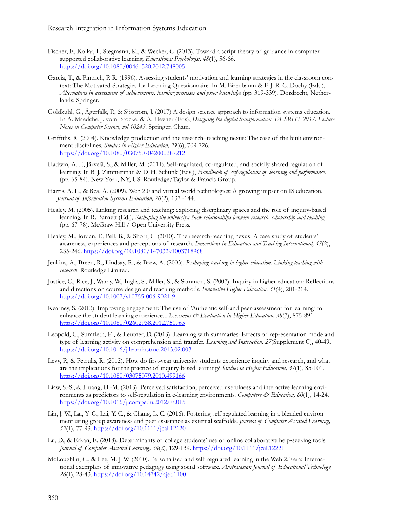- Fischer, F., Kollar, I., Stegmann, K., & Wecker, C. (2013). Toward a script theory of guidance in computersupported collaborative learning. *Educational Psychologist, 48*(1), 56-66. <https://doi.org/10.1080/00461520.2012.748005>
- Garcia, T., & Pintrich, P. R. (1996). Assessing students' motivation and learning strategies in the classroom context: The Motivated Strategies for Learning Questionnaire. In M. Birenbaum & F. J. R. C. Dochy (Eds.), *Alternatives in assessment of achievements, learning processes and prior knowledge* (pp. 319-339). Dordrecht, Netherlands: Springer.
- Goldkuhl, G., Ågerfalk, P., & Sjöström, J. (2017) A design science approach to information systems education. In A. Maedche, J. vom Brocke, & A. Hevner (Eds), *Designing the digital transformation. DESRIST 2017. Lecture Notes in Computer Science, vol 10243.* Springer, Cham.
- Griffiths, R. (2004). Knowledge production and the research–teaching nexus: The case of the built environment disciplines. *Studies in Higher Education, 29*(6), 709-726. <https://doi.org/10.1080/0307507042000287212>
- Hadwin, A. F., Järvelä, S., & Miller, M. (2011). Self-regulated, co-regulated, and socially shared regulation of learning. In B. J. Zimmerman & D. H. Schunk (Eds.), *Handbook of self-regulation of learning and performance*. (pp. 65-84). New York, NY, US: Routledge/Taylor & Francis Group.
- Harris, A. L., & Rea, A. (2009). Web 2.0 and virtual world technologies: A growing impact on IS education. *Journal of Information Systems Education, 20*(2), 137 -144.
- Healey, M. (2005). Linking research and teaching: exploring disciplinary spaces and the role of inquiry-based learning. In R. Barnett (Ed.), *Reshaping the university: New relationships between research, scholarship and teaching* (pp. 67-78). McGraw Hill / Open University Press.
- Healey, M., Jordan, F., Pell, B., & Short, C. (2010). The research-teaching nexus: A case study of students' awareness, experiences and perceptions of research*. Innovations in Education and Teaching International, 47*(2), 235-246. <https://doi.org/10.1080/14703291003718968>
- Jenkins, A., Breen, R., Lindsay, R., & Brew, A. (2003). *Reshaping teaching in higher education: Linking teaching with research*: Routledge Limited.
- Justice, C., Rice, J., Warry, W., Inglis, S., Miller, S., & Sammon, S. (2007). Inquiry in higher education: Reflections and directions on course design and teaching methods. *Innovative Higher Education, 31*(4), 201-214. [https://doi.org/10.1007/s10755](https://doi.org/10.1007/s10755-006-9021-9)-006-9021-9
- Kearney, S. (2013). Improving engagement: The use of 'Authentic self-and peer-assessment for learning' to enhance the student learning experience. *Assessment & Evaluation in Higher Education*, 38(7), 875-891. <https://doi.org/10.1080/02602938.2012.751963>
- Leopold, C., Sumfleth, E., & Leutner, D. (2013). Learning with summaries: Effects of representation mode and type of learning activity on comprehension and transfer. *Learning and Instruction, 27*(Supplement C), 40-49. <https://doi.org/10.1016/j.learninstruc.2013.02.003>
- Levy, P., & Petrulis, R. (2012). How do first-year university students experience inquiry and research, and what are the implications for the practice of inquiry-based learning? *Studies in Higher Education, 37*(1), 85-101. <https://doi.org/10.1080/03075079.2010.499166>
- Liaw, S.-S., & Huang, H.-M. (2013). Perceived satisfaction, perceived usefulness and interactive learning environments as predictors to self-regulation in e-learning environments. *Computers & Education, 60*(1), 14-24. <https://doi.org/10.1016/j.compedu.2012.07.015>
- Lin, J. W., Lai, Y. C., Lai, Y. C., & Chang, L. C. (2016). Fostering self-regulated learning in a blended environment using group awareness and peer assistance as external scaffolds. *Journal of Computer Assisted Learning, 32*(1), 77-93.<https://doi.org/10.1111/jcal.12120>
- Lu, D., & Erkan, E. (2018). Determinants of college students' use of online collaborative help‐seeking tools. *Journal of Computer Assisted Learning, 34*(2), 129-139.<https://doi.org/10.1111/jcal.12221>
- McLoughlin, C., & Lee, M. J. W. (2010). Personalised and self regulated learning in the Web 2.0 era: International exemplars of innovative pedagogy using social software. *Australasian Journal of Educational Technology, 26*(1), 28-43. <https://doi.org/10.14742/ajet.1100>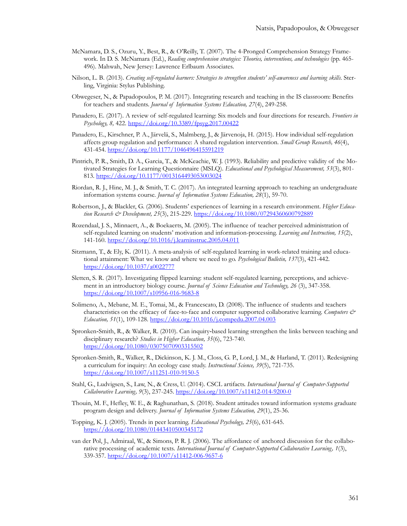- McNamara, D. S., Ozuru, Y., Best, R., & O'Reilly, T. (2007). The 4-Pronged Comprehension Strategy Framework. In D. S. McNamara (Ed.), *Reading comprehension strategies: Theories, interventions, and technologies* (pp. 465- 496). Mahwah, New Jersey: Lawrence Erlbaum Associates.
- Nilson, L. B. (2013). *Creating self-regulated learners: Strategies to strengthen students' self-awareness and learning skills*. Sterling, Virginia: Stylus Publishing.
- Obwegeser, N., & Papadopoulos, P. M. (2017). Integrating research and teaching in the IS classroom: Benefits for teachers and students. *Journal of Information Systems Education, 27*(4), 249-258.
- Panadero, E. (2017). A review of self-regulated learning: Six models and four directions for research. *Frontiers in Psychology, 8,* 422. <https://doi.org/10.3389/fpsyg.2017.00422>
- Panadero, E., Kirschner, P. A., Järvelä, S., Malmberg, J., & Järvenoja, H. (2015). How individual self-regulation affects group regulation and performance: A shared regulation intervention. *Small Group Research, 46*(4), 431-454. <https://doi.org/10.1177/1046496415591219>
- Pintrich, P. R., Smith, D. A., Garcia, T., & McKeachie, W. J. (1993). Reliability and predictive validity of the Motivated Strategies for Learning Questionnaire (MSLQ). *Educational and Psychological Measurement, 53*(3), 801- 813. <https://doi.org/10.1177/0013164493053003024>
- Riordan, R. J., Hine, M. J., & Smith, T. C. (2017). An integrated learning approach to teaching an undergraduate information systems course. *Journal of Information Systems Education, 28*(1), 59-70.
- Robertson, J., & Blackler, G. (2006). Students' experiences of learning in a research environment. *Higher Education Research & Development, 25*(3), 215-229.<https://doi.org/10.1080/07294360600792889>
- Rozendaal, J. S., Minnaert, A., & Boekaerts, M. (2005). The influence of teacher perceived administration of self-regulated learning on students' motivation and information-processing. *Learning and Instruction, 15*(2), 141-160. <https://doi.org/10.1016/j.learninstruc.2005.04.011>
- Sitzmann, T., & Ely, K. (2011). A meta-analysis of self-regulated learning in work-related training and educational attainment: What we know and where we need to go. *Psychological Bulletin, 137*(3), 421-442. <https://doi.org/10.1037/a0022777>
- Sletten, S. R. (2017). Investigating flipped learning: student self-regulated learning, perceptions, and achievement in an introductory biology course. *Journal of Science Education and Technology, 26* (3), 347-358. [https://doi.org/10.1007/s10956](https://doi.org/10.1007/s10956-016-9683-8)-016-9683-8
- Solimeno, A., Mebane, M. E., Tomai, M., & Francescato, D. (2008). The influence of students and teachers characteristics on the efficacy of face-to-face and computer supported collaborative learning. *Computers & Education, 51*(1), 109-128. <https://doi.org/10.1016/j.compedu.2007.04.003>
- Spronken‐Smith, R., & Walker, R. (2010). Can inquiry‐based learning strengthen the links between teaching and disciplinary research? *Studies in Higher Education, 35*(6), 723-740. <https://doi.org/10.1080/03075070903315502>
- Spronken-Smith, R., Walker, R., Dickinson, K. J. M., Closs, G. P., Lord, J. M., & Harland, T. (2011). Redesigning a curriculum for inquiry: An ecology case study. *Instructional Science, 39*(5), 721-735. [https://doi.org/10.1007/s11251](https://doi.org/10.1007/s11251-010-9150-5)-010-9150-5
- Stahl, G., Ludvigsen, S., Law, N., & Cress, U. (2014). CSCL artifacts. *International Journal of Computer-Supported Collaborative Learning, 9*(3), 237-245. [https://doi.org/10.1007/s11412](https://doi.org/10.1007/s11412-014-9200-0)-014-9200-0
- Thouin, M. F., Hefley, W. E., & Raghunathan, S. (2018). Student attitudes toward information systems graduate program design and delivery. *Journal of Information Systems Education, 29*(1), 25-36.
- Topping, K. J. (2005). Trends in peer learning. *Educational Psychology, 25*(6), 631-645. <https://doi.org/10.1080/01443410500345172>
- van der Pol, J., Admiraal, W., & Simons, P. R. J. (2006). The affordance of anchored discussion for the collaborative processing of academic texts*. International Journal of Computer-Supported Collaborative Learning, 1*(3), 339-357. [https://doi.org/10.1007/s11412](https://doi.org/10.1007/s11412-006-9657-6)-006-9657-6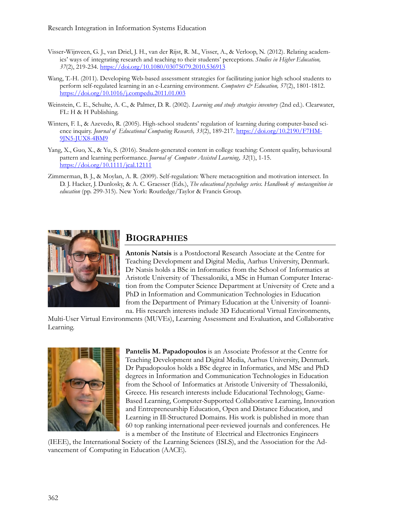- Visser‐Wijnveen, G. J., van Driel, J. H., van der Rijst, R. M., Visser, A., & Verloop, N. (2012). Relating academics' ways of integrating research and teaching to their students' perceptions. *Studies in Higher Education, 37*(2), 219-234. <https://doi.org/10.1080/03075079.2010.536913>
- Wang, T.-H. (2011). Developing Web-based assessment strategies for facilitating junior high school students to perform self-regulated learning in an e-Learning environment. *Computers & Education, 57*(2), 1801-1812. <https://doi.org/10.1016/j.compedu.2011.01.003>
- Weinstein, C. E., Schulte, A. C., & Palmer, D. R. (2002). *Learning and study strategies inventory* (2nd ed.). Clearwater, FL: H & H Publishing.
- Winters, F. I., & Azevedo, R. (2005). High-school students' regulation of learning during computer-based science inquiry. *Journal of Educational Computing Research, 33(2)*, 189-217. [https://doi.org/10.2190/F7HM](https://doi.org/10.2190/F7HM-9JN5-JUX8-4BM9)-9JN5-JUX8-[4BM9](https://doi.org/10.2190/F7HM-9JN5-JUX8-4BM9)
- Yang, X., Guo, X., & Yu, S. (2016). Student-generated content in college teaching: Content quality, behavioural pattern and learning performance. *Journal of Computer Assisted Learning, 32*(1), 1-15. <https://doi.org/10.1111/jcal.12111>
- Zimmerman, B. J., & Moylan, A. R. (2009). Self-regulation: Where metacognition and motivation intersect. In D. J. Hacker, J. Dunlosky, & A. C. Graesser (Eds.), *The educational psychology series. Handbook of metacognition in education* (pp. 299-315). New York: Routledge/Taylor & Francis Group.



# **BIOGRAPHIES**

**Antonis Natsis** is a Postdoctoral Research Associate at the Centre for Teaching Development and Digital Media, Aarhus University, Denmark. Dr Natsis holds a BSc in Informatics from the School of Informatics at Aristotle University of Thessaloniki, a MSc in Human Computer Interaction from the Computer Science Department at University of Crete and a PhD in Information and Communication Technologies in Education from the Department of Primary Education at the University of Ioannina. His research interests include 3D Educational Virtual Environments,

Multi-User Virtual Environments (MUVEs), Learning Assessment and Evaluation, and Collaborative Learning.



**Pantelis M. Papadopoulos** is an Associate Professor at the Centre for Teaching Development and Digital Media, Aarhus University, Denmark. Dr Papadopoulos holds a BSc degree in Informatics, and MSc and PhD degrees in Information and Communication Technologies in Education from the School of Informatics at Aristotle University of Thessaloniki, Greece. His research interests include Educational Technology, Game-Based Learning, Computer-Supported Collaborative Learning, Innovation and Entrepreneurship Education, Open and Distance Education, and Learning in Ill-Structured Domains. His work is published in more than 60 top ranking international peer-reviewed journals and conferences. He is a member of the Institute of Electrical and Electronics Engineers

(IEEE), the International Society of the Learning Sciences (ISLS), and the Association for the Advancement of Computing in Education (AACE).